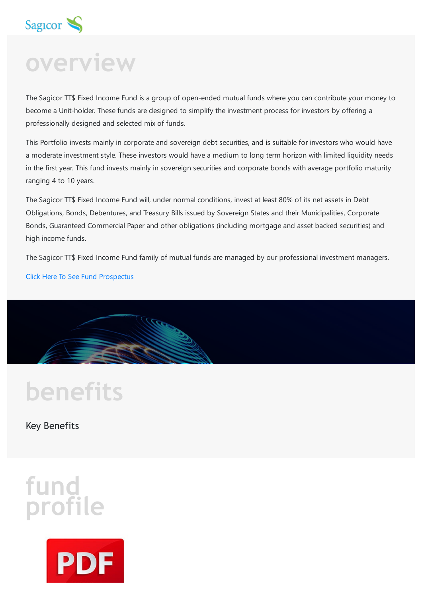

## **overview**

The Sagicor TT\$ Fixed Income Fund is a group of open-ended mutual funds where you can contribute your money to become a Unit-holder. These funds are designed to simplify the investment process for investors by offering a professionally designed and selected mix of funds.

This Portfolio invests mainly in corporate and sovereign debt securities, and is suitable for investors who would have a moderate investment style. These investors would have a medium to long term horizon with limited liquidity needs in the first year. This fund invests mainly in sovereign securities and corporate bonds with average portfolio maturity ranging 4 to 10 years.

The Sagicor TT\$ Fixed Income Fund will, under normal conditions, invest at least 80% of its net assets in Debt Obligations, Bonds, Debentures, and Treasury Bills issued by Sovereign States and their Municipalities, Corporate Bonds, Guaranteed Commercial Paper and other obligations (including mortgage and asset backed securities) and high income funds.

The Sagicor TT\$ Fixed Income Fund family of mutual funds are managed by our professional investment managers.

Click Here To See Fund [Prospectus](https://www.sagicor.com/-/media/PDFs/TT-Investments-Forms/TTFixed-IncomeFundDec-2020.pdf?la=en-TT&hash=B0DD5412DFA7598D84092F1F89D39FF3D1BE8292)



# **benefits**

Key Benefits

### **fund profile**